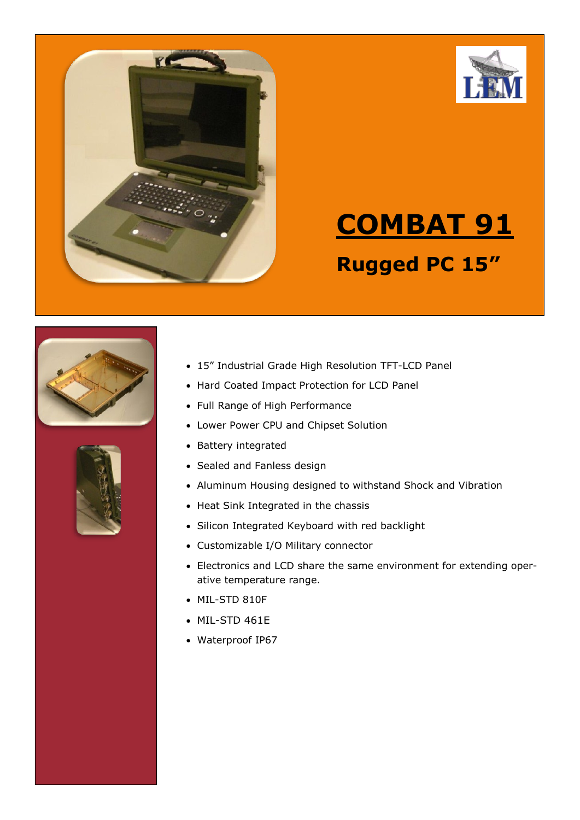



# **COMBAT 91 Rugged PC 15"**





- 15" Industrial Grade High Resolution TFT-LCD Panel
- Hard Coated Impact Protection for LCD Panel
- Full Range of High Performance
- Lower Power CPU and Chipset Solution
- Battery integrated
- Sealed and Fanless design
- Aluminum Housing designed to withstand Shock and Vibration
- Heat Sink Integrated in the chassis
- Silicon Integrated Keyboard with red backlight
- Customizable I/O Military connector
- Electronics and LCD share the same environment for extending operative temperature range.
- MIL-STD 810F
- MIL-STD 461E
- Waterproof IP67